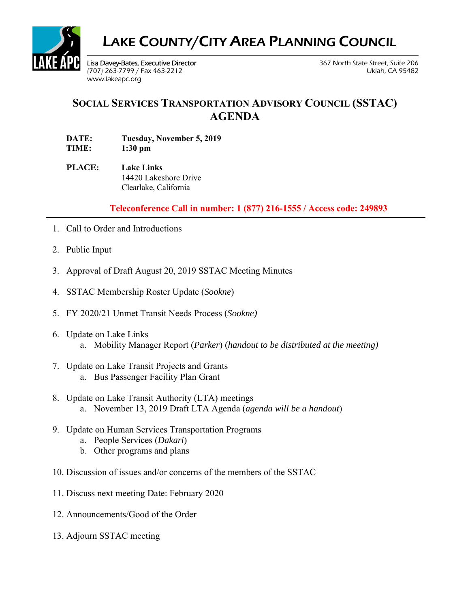

www.lakeapc.org

(707) 263-7799 / Fax 463-2212

Lisa Davey-Bates, Executive Director and State Street, Suite 206 367 North State Street, Suite 206 1707) 263-7799 / Fax 463-2212

# **SOCIAL SERVICES TRANSPORTATION ADVISORY COUNCIL (SSTAC) AGENDA**

**DATE: Tuesday, November 5, 2019 TIME: 1:30 pm** 

**PLACE: Lake Links**  14420 Lakeshore Drive Clearlake, California

**Teleconference Call in number: 1 (877) 216-1555 / Access code: 249893** 

- 1. Call to Order and Introductions
- 2. Public Input
- 3. Approval of Draft August 20, 2019 SSTAC Meeting Minutes
- 4. SSTAC Membership Roster Update (*Sookne*)
- 5. FY 2020/21 Unmet Transit Needs Process (*Sookne)*
- 6. Update on Lake Links a. Mobility Manager Report (*Parker*) (*handout to be distributed at the meeting)*
- 7. Update on Lake Transit Projects and Grants a. Bus Passenger Facility Plan Grant
- 8. Update on Lake Transit Authority (LTA) meetings a. November 13, 2019 Draft LTA Agenda (*agenda will be a handout*)
- 9. Update on Human Services Transportation Programs
	- a. People Services (*Dakari*)
	- b. Other programs and plans
- 10. Discussion of issues and/or concerns of the members of the SSTAC
- 11. Discuss next meeting Date: February 2020
- 12. Announcements/Good of the Order
- 13. Adjourn SSTAC meeting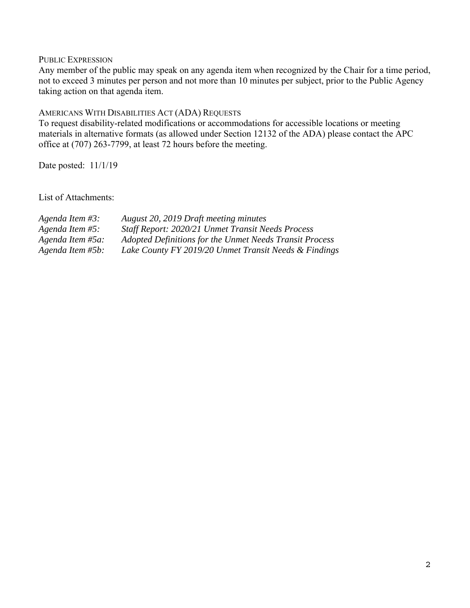#### PUBLIC EXPRESSION

Any member of the public may speak on any agenda item when recognized by the Chair for a time period, not to exceed 3 minutes per person and not more than 10 minutes per subject, prior to the Public Agency taking action on that agenda item.

#### AMERICANS WITH DISABILITIES ACT (ADA) REQUESTS

To request disability-related modifications or accommodations for accessible locations or meeting materials in alternative formats (as allowed under Section 12132 of the ADA) please contact the APC office at (707) 263-7799, at least 72 hours before the meeting.

Date posted: 11/1/19

List of Attachments:

| Agenda Item $#3$ :  | August 20, 2019 Draft meeting minutes                   |
|---------------------|---------------------------------------------------------|
| Agenda Item $#5$ :  | Staff Report: 2020/21 Unmet Transit Needs Process       |
| Agenda Item #5a:    | Adopted Definitions for the Unmet Needs Transit Process |
| Agenda Item $#5b$ : | Lake County FY 2019/20 Unmet Transit Needs & Findings   |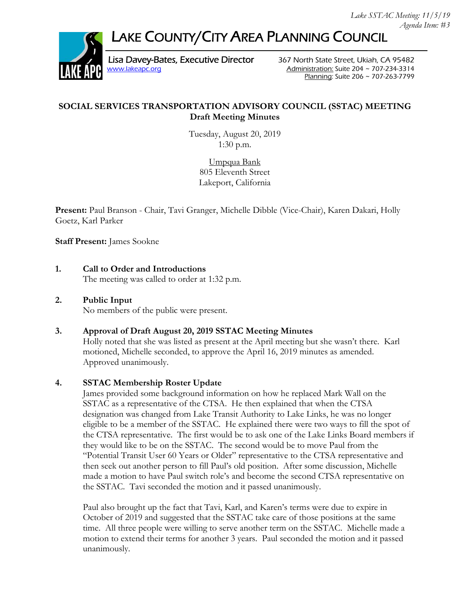# LAKE COUNTY/CITY AREA PLANNING COUNCIL



Lisa Davey-Bates, Executive Director 367 North State Street, Ukiah, CA 95482 www.lakeapc.org Administration: Suite 204 ~ 707-234-3314

Planning: Suite 206 ~ 707-263-7799

## **SOCIAL SERVICES TRANSPORTATION ADVISORY COUNCIL (SSTAC) MEETING Draft Meeting Minutes**

Tuesday, August 20, 2019 1:30 p.m.

> Umpqua Bank 805 Eleventh Street Lakeport, California

**Present:** Paul Branson - Chair, Tavi Granger, Michelle Dibble (Vice-Chair), Karen Dakari, Holly Goetz, Karl Parker

**Staff Present:** James Sookne

**1. Call to Order and Introductions**

The meeting was called to order at 1:32 p.m.

## **2. Public Input**

No members of the public were present.

## **3. Approval of Draft August 20, 2019 SSTAC Meeting Minutes**

Holly noted that she was listed as present at the April meeting but she wasn't there. Karl motioned, Michelle seconded, to approve the April 16, 2019 minutes as amended. Approved unanimously.

## **4. SSTAC Membership Roster Update**

 James provided some background information on how he replaced Mark Wall on the SSTAC as a representative of the CTSA. He then explained that when the CTSA designation was changed from Lake Transit Authority to Lake Links, he was no longer eligible to be a member of the SSTAC. He explained there were two ways to fill the spot of the CTSA representative. The first would be to ask one of the Lake Links Board members if they would like to be on the SSTAC. The second would be to move Paul from the "Potential Transit User 60 Years or Older" representative to the CTSA representative and then seek out another person to fill Paul's old position. After some discussion, Michelle made a motion to have Paul switch role's and become the second CTSA representative on the SSTAC. Tavi seconded the motion and it passed unanimously.

 Paul also brought up the fact that Tavi, Karl, and Karen's terms were due to expire in October of 2019 and suggested that the SSTAC take care of those positions at the same time. All three people were willing to serve another term on the SSTAC. Michelle made a motion to extend their terms for another 3 years. Paul seconded the motion and it passed unanimously.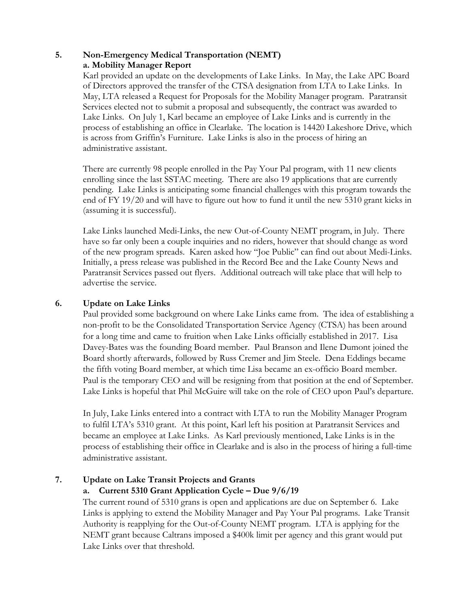#### **5. Non-Emergency Medical Transportation (NEMT) a. Mobility Manager Report**

Karl provided an update on the developments of Lake Links. In May, the Lake APC Board of Directors approved the transfer of the CTSA designation from LTA to Lake Links. In May, LTA released a Request for Proposals for the Mobility Manager program. Paratransit Services elected not to submit a proposal and subsequently, the contract was awarded to Lake Links. On July 1, Karl became an employee of Lake Links and is currently in the process of establishing an office in Clearlake. The location is 14420 Lakeshore Drive, which is across from Griffin's Furniture. Lake Links is also in the process of hiring an administrative assistant.

There are currently 98 people enrolled in the Pay Your Pal program, with 11 new clients enrolling since the last SSTAC meeting. There are also 19 applications that are currently pending. Lake Links is anticipating some financial challenges with this program towards the end of FY 19/20 and will have to figure out how to fund it until the new 5310 grant kicks in (assuming it is successful).

Lake Links launched Medi-Links, the new Out-of-County NEMT program, in July. There have so far only been a couple inquiries and no riders, however that should change as word of the new program spreads. Karen asked how "Joe Public" can find out about Medi-Links. Initially, a press release was published in the Record Bee and the Lake County News and Paratransit Services passed out flyers. Additional outreach will take place that will help to advertise the service.

## **6. Update on Lake Links**

Paul provided some background on where Lake Links came from. The idea of establishing a non-profit to be the Consolidated Transportation Service Agency (CTSA) has been around for a long time and came to fruition when Lake Links officially established in 2017. Lisa Davey-Bates was the founding Board member. Paul Branson and Ilene Dumont joined the Board shortly afterwards, followed by Russ Cremer and Jim Steele. Dena Eddings became the fifth voting Board member, at which time Lisa became an ex-officio Board member. Paul is the temporary CEO and will be resigning from that position at the end of September. Lake Links is hopeful that Phil McGuire will take on the role of CEO upon Paul's departure.

In July, Lake Links entered into a contract with LTA to run the Mobility Manager Program to fulfil LTA's 5310 grant. At this point, Karl left his position at Paratransit Services and became an employee at Lake Links. As Karl previously mentioned, Lake Links is in the process of establishing their office in Clearlake and is also in the process of hiring a full-time administrative assistant.

# **7. Update on Lake Transit Projects and Grants**

# **a. Current 5310 Grant Application Cycle – Due 9/6/19**

The current round of 5310 grans is open and applications are due on September 6. Lake Links is applying to extend the Mobility Manager and Pay Your Pal programs. Lake Transit Authority is reapplying for the Out-of-County NEMT program. LTA is applying for the NEMT grant because Caltrans imposed a \$400k limit per agency and this grant would put Lake Links over that threshold.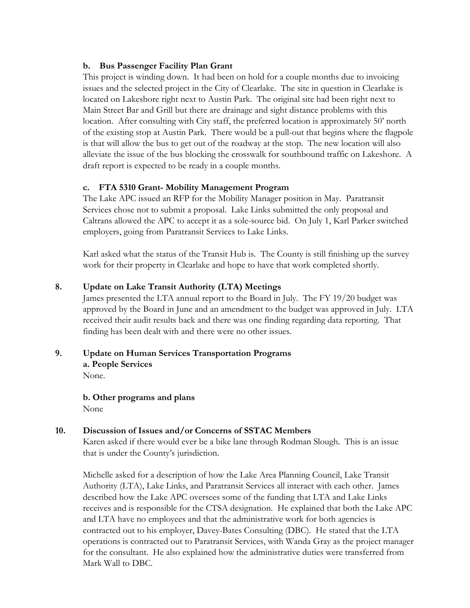#### **b. Bus Passenger Facility Plan Grant**

This project is winding down. It had been on hold for a couple months due to invoicing issues and the selected project in the City of Clearlake. The site in question in Clearlake is located on Lakeshore right next to Austin Park. The original site had been right next to Main Street Bar and Grill but there are drainage and sight distance problems with this location. After consulting with City staff, the preferred location is approximately 50' north of the existing stop at Austin Park. There would be a pull-out that begins where the flagpole is that will allow the bus to get out of the roadway at the stop. The new location will also alleviate the issue of the bus blocking the crosswalk for southbound traffic on Lakeshore. A draft report is expected to be ready in a couple months.

## **c. FTA 5310 Grant- Mobility Management Program**

The Lake APC issued an RFP for the Mobility Manager position in May. Paratransit Services chose not to submit a proposal. Lake Links submitted the only proposal and Caltrans allowed the APC to accept it as a sole-source bid. On July 1, Karl Parker switched employers, going from Paratransit Services to Lake Links.

Karl asked what the status of the Transit Hub is. The County is still finishing up the survey work for their property in Clearlake and hope to have that work completed shortly.

## **8. Update on Lake Transit Authority (LTA) Meetings**

James presented the LTA annual report to the Board in July. The FY 19/20 budget was approved by the Board in June and an amendment to the budget was approved in July. LTA received their audit results back and there was one finding regarding data reporting. That finding has been dealt with and there were no other issues.

## **9. Update on Human Services Transportation Programs**

 **a. People Services**  None.

**b. Other programs and plans**  None

## **10. Discussion of Issues and/or Concerns of SSTAC Members**

Karen asked if there would ever be a bike lane through Rodman Slough. This is an issue that is under the County's jurisdiction.

Michelle asked for a description of how the Lake Area Planning Council, Lake Transit Authority (LTA), Lake Links, and Paratransit Services all interact with each other. James described how the Lake APC oversees some of the funding that LTA and Lake Links receives and is responsible for the CTSA designation. He explained that both the Lake APC and LTA have no employees and that the administrative work for both agencies is contracted out to his employer, Davey-Bates Consulting (DBC). He stated that the LTA operations is contracted out to Paratransit Services, with Wanda Gray as the project manager for the consultant. He also explained how the administrative duties were transferred from Mark Wall to DBC.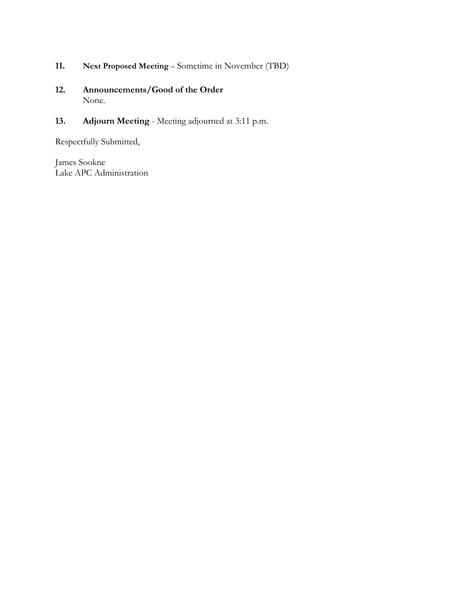- **11. Next Proposed Meeting** Sometime in November (TBD)
- **12. Announcements/Good of the Order**  None.

# **13. Adjourn Meeting** - Meeting adjourned at 3:11 p.m.

Respectfully Submitted,

James Sookne Lake APC Administration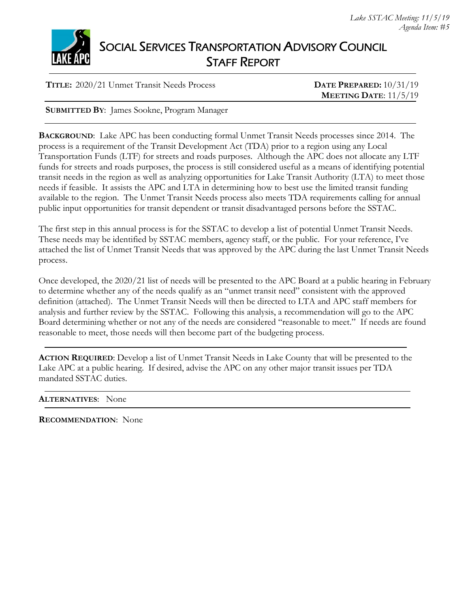

# **SOCIAL SERVICES TRANSPORTATION ADVISORY COUNCIL** STAFF REPORT

#### **TITLE:** 2020/21 Unmet Transit Needs Process **DATE PREPARED:** 10/31/19

 **MEETING DATE**: 11/5/19

**SUBMITTED BY**: James Sookne, Program Manager

**BACKGROUND**: Lake APC has been conducting formal Unmet Transit Needs processes since 2014. The process is a requirement of the Transit Development Act (TDA) prior to a region using any Local Transportation Funds (LTF) for streets and roads purposes. Although the APC does not allocate any LTF funds for streets and roads purposes, the process is still considered useful as a means of identifying potential transit needs in the region as well as analyzing opportunities for Lake Transit Authority (LTA) to meet those needs if feasible. It assists the APC and LTA in determining how to best use the limited transit funding available to the region. The Unmet Transit Needs process also meets TDA requirements calling for annual public input opportunities for transit dependent or transit disadvantaged persons before the SSTAC.

The first step in this annual process is for the SSTAC to develop a list of potential Unmet Transit Needs. These needs may be identified by SSTAC members, agency staff, or the public. For your reference, I've attached the list of Unmet Transit Needs that was approved by the APC during the last Unmet Transit Needs process.

Once developed, the 2020/21 list of needs will be presented to the APC Board at a public hearing in February to determine whether any of the needs qualify as an "unmet transit need" consistent with the approved definition (attached). The Unmet Transit Needs will then be directed to LTA and APC staff members for analysis and further review by the SSTAC. Following this analysis, a recommendation will go to the APC Board determining whether or not any of the needs are considered "reasonable to meet." If needs are found reasonable to meet, those needs will then become part of the budgeting process.

**ACTION REQUIRED:** Develop a list of Unmet Transit Needs in Lake County that will be presented to the Lake APC at a public hearing. If desired, advise the APC on any other major transit issues per TDA mandated SSTAC duties.

#### **ALTERNATIVES**: None

**RECOMMENDATION**: None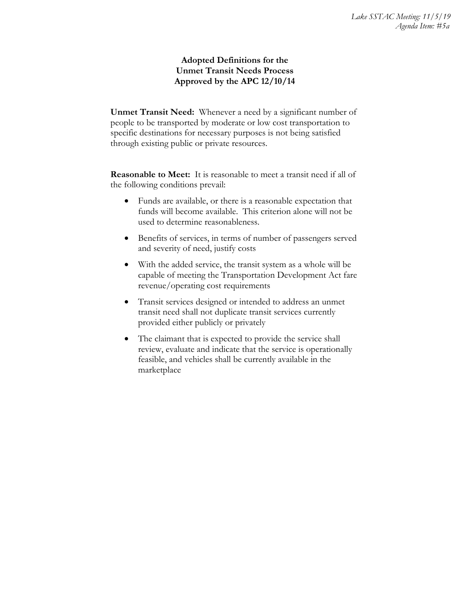#### **Adopted Definitions for the Unmet Transit Needs Process Approved by the APC 12/10/14**

**Unmet Transit Need:** Whenever a need by a significant number of people to be transported by moderate or low cost transportation to specific destinations for necessary purposes is not being satisfied through existing public or private resources.

**Reasonable to Meet:** It is reasonable to meet a transit need if all of the following conditions prevail:

- Funds are available, or there is a reasonable expectation that funds will become available. This criterion alone will not be used to determine reasonableness.
- Benefits of services, in terms of number of passengers served and severity of need, justify costs
- With the added service, the transit system as a whole will be capable of meeting the Transportation Development Act fare revenue/operating cost requirements
- Transit services designed or intended to address an unmet transit need shall not duplicate transit services currently provided either publicly or privately
- The claimant that is expected to provide the service shall review, evaluate and indicate that the service is operationally feasible, and vehicles shall be currently available in the marketplace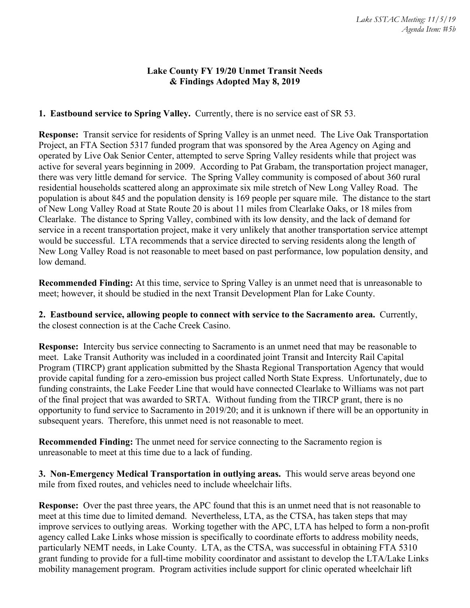#### **Lake County FY 19/20 Unmet Transit Needs & Findings Adopted May 8, 2019**

## **1. Eastbound service to Spring Valley.** Currently, there is no service east of SR 53.

**Response:** Transit service for residents of Spring Valley is an unmet need. The Live Oak Transportation Project, an FTA Section 5317 funded program that was sponsored by the Area Agency on Aging and operated by Live Oak Senior Center, attempted to serve Spring Valley residents while that project was active for several years beginning in 2009. According to Pat Grabam, the transportation project manager, there was very little demand for service. The Spring Valley community is composed of about 360 rural residential households scattered along an approximate six mile stretch of New Long Valley Road. The population is about 845 and the population density is 169 people per square mile. The distance to the start of New Long Valley Road at State Route 20 is about 11 miles from Clearlake Oaks, or 18 miles from Clearlake. The distance to Spring Valley, combined with its low density, and the lack of demand for service in a recent transportation project, make it very unlikely that another transportation service attempt would be successful. LTA recommends that a service directed to serving residents along the length of New Long Valley Road is not reasonable to meet based on past performance, low population density, and low demand.

**Recommended Finding:** At this time, service to Spring Valley is an unmet need that is unreasonable to meet; however, it should be studied in the next Transit Development Plan for Lake County.

**2. Eastbound service, allowing people to connect with service to the Sacramento area.** Currently, the closest connection is at the Cache Creek Casino.

**Response:** Intercity bus service connecting to Sacramento is an unmet need that may be reasonable to meet. Lake Transit Authority was included in a coordinated joint Transit and Intercity Rail Capital Program (TIRCP) grant application submitted by the Shasta Regional Transportation Agency that would provide capital funding for a zero-emission bus project called North State Express. Unfortunately, due to funding constraints, the Lake Feeder Line that would have connected Clearlake to Williams was not part of the final project that was awarded to SRTA. Without funding from the TIRCP grant, there is no opportunity to fund service to Sacramento in 2019/20; and it is unknown if there will be an opportunity in subsequent years. Therefore, this unmet need is not reasonable to meet.

**Recommended Finding:** The unmet need for service connecting to the Sacramento region is unreasonable to meet at this time due to a lack of funding.

**3. Non-Emergency Medical Transportation in outlying areas.** This would serve areas beyond one mile from fixed routes, and vehicles need to include wheelchair lifts.

**Response:** Over the past three years, the APC found that this is an unmet need that is not reasonable to meet at this time due to limited demand. Nevertheless, LTA, as the CTSA, has taken steps that may improve services to outlying areas. Working together with the APC, LTA has helped to form a non-profit agency called Lake Links whose mission is specifically to coordinate efforts to address mobility needs, particularly NEMT needs, in Lake County. LTA, as the CTSA, was successful in obtaining FTA 5310 grant funding to provide for a full-time mobility coordinator and assistant to develop the LTA/Lake Links mobility management program. Program activities include support for clinic operated wheelchair lift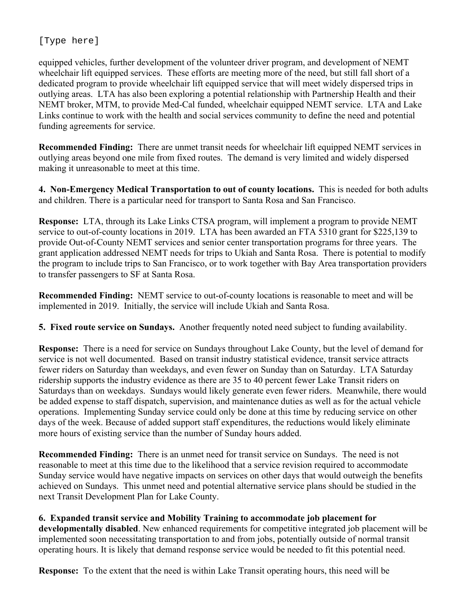# [Type here]

equipped vehicles, further development of the volunteer driver program, and development of NEMT wheelchair lift equipped services. These efforts are meeting more of the need, but still fall short of a dedicated program to provide wheelchair lift equipped service that will meet widely dispersed trips in outlying areas. LTA has also been exploring a potential relationship with Partnership Health and their NEMT broker, MTM, to provide Med-Cal funded, wheelchair equipped NEMT service. LTA and Lake Links continue to work with the health and social services community to define the need and potential funding agreements for service.

**Recommended Finding:** There are unmet transit needs for wheelchair lift equipped NEMT services in outlying areas beyond one mile from fixed routes. The demand is very limited and widely dispersed making it unreasonable to meet at this time.

**4. Non-Emergency Medical Transportation to out of county locations.** This is needed for both adults and children. There is a particular need for transport to Santa Rosa and San Francisco.

**Response:** LTA, through its Lake Links CTSA program, will implement a program to provide NEMT service to out-of-county locations in 2019. LTA has been awarded an FTA 5310 grant for \$225,139 to provide Out-of-County NEMT services and senior center transportation programs for three years. The grant application addressed NEMT needs for trips to Ukiah and Santa Rosa. There is potential to modify the program to include trips to San Francisco, or to work together with Bay Area transportation providers to transfer passengers to SF at Santa Rosa.

**Recommended Finding:** NEMT service to out-of-county locations is reasonable to meet and will be implemented in 2019. Initially, the service will include Ukiah and Santa Rosa.

**5. Fixed route service on Sundays.** Another frequently noted need subject to funding availability.

**Response:** There is a need for service on Sundays throughout Lake County, but the level of demand for service is not well documented. Based on transit industry statistical evidence, transit service attracts fewer riders on Saturday than weekdays, and even fewer on Sunday than on Saturday. LTA Saturday ridership supports the industry evidence as there are 35 to 40 percent fewer Lake Transit riders on Saturdays than on weekdays. Sundays would likely generate even fewer riders. Meanwhile, there would be added expense to staff dispatch, supervision, and maintenance duties as well as for the actual vehicle operations. Implementing Sunday service could only be done at this time by reducing service on other days of the week. Because of added support staff expenditures, the reductions would likely eliminate more hours of existing service than the number of Sunday hours added.

**Recommended Finding:** There is an unmet need for transit service on Sundays. The need is not reasonable to meet at this time due to the likelihood that a service revision required to accommodate Sunday service would have negative impacts on services on other days that would outweigh the benefits achieved on Sundays. This unmet need and potential alternative service plans should be studied in the next Transit Development Plan for Lake County.

## **6. Expanded transit service and Mobility Training to accommodate job placement for**

**developmentally disabled**. New enhanced requirements for competitive integrated job placement will be implemented soon necessitating transportation to and from jobs, potentially outside of normal transit operating hours. It is likely that demand response service would be needed to fit this potential need.

**Response:** To the extent that the need is within Lake Transit operating hours, this need will be